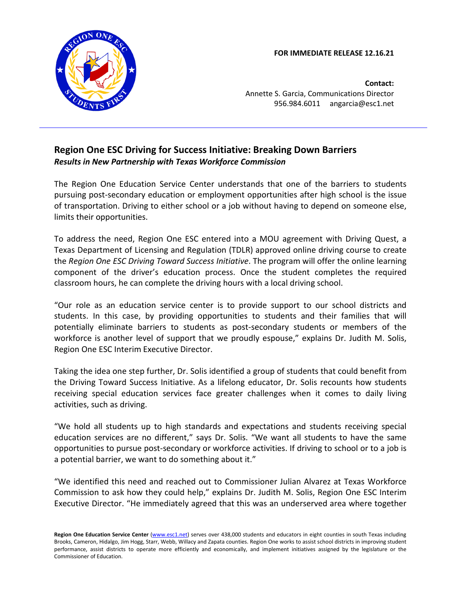**FOR IMMEDIATE RELEASE 12.16.21** 



**Contact:** Annette S. Garcia, Communications Director 956.984.6011 angarcia@esc1.net

## **Region One ESC Driving for Success Initiative: Breaking Down Barriers** *Results in New Partnership with Texas Workforce Commission*

The Region One Education Service Center understands that one of the barriers to students pursuing post-secondary education or employment opportunities after high school is the issue of transportation. Driving to either school or a job without having to depend on someone else, limits their opportunities.

To address the need, Region One ESC entered into a MOU agreement with Driving Quest, a Texas Department of Licensing and Regulation (TDLR) approved online driving course to create the *Region One ESC Driving Toward Success Initiative*. The program will offer the online learning component of the driver's education process. Once the student completes the required classroom hours, he can complete the driving hours with a local driving school.

"Our role as an education service center is to provide support to our school districts and students. In this case, by providing opportunities to students and their families that will potentially eliminate barriers to students as post-secondary students or members of the workforce is another level of support that we proudly espouse," explains Dr. Judith M. Solis, Region One ESC Interim Executive Director.

Taking the idea one step further, Dr. Solis identified a group of students that could benefit from the Driving Toward Success Initiative. As a lifelong educator, Dr. Solis recounts how students receiving special education services face greater challenges when it comes to daily living activities, such as driving.

"We hold all students up to high standards and expectations and students receiving special education services are no different," says Dr. Solis. "We want all students to have the same opportunities to pursue post-secondary or workforce activities. If driving to school or to a job is a potential barrier, we want to do something about it."

"We identified this need and reached out to Commissioner Julian Alvarez at Texas Workforce Commission to ask how they could help," explains Dr. Judith M. Solis, Region One ESC Interim Executive Director. "He immediately agreed that this was an underserved area where together

Region One Education Service Center [\(www.esc1.net\)](http://www.esc1.net/) serves over 438,000 students and educators in eight counties in south Texas including Brooks, Cameron, Hidalgo, Jim Hogg, Starr, Webb, Willacy and Zapata counties. Region One works to assist school districts in improving student performance, assist districts to operate more efficiently and economically, and implement initiatives assigned by the legislature or the Commissioner of Education.